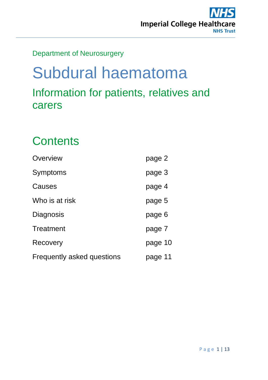

## Department of Neurosurgery

# Subdural haematoma Information for patients, relatives and carers

## **Contents**

| Overview                   | page 2  |
|----------------------------|---------|
| Symptoms                   | page 3  |
| Causes                     | page 4  |
| Who is at risk             | page 5  |
| Diagnosis                  | page 6  |
| <b>Treatment</b>           | page 7  |
| Recovery                   | page 10 |
| Frequently asked questions | page 11 |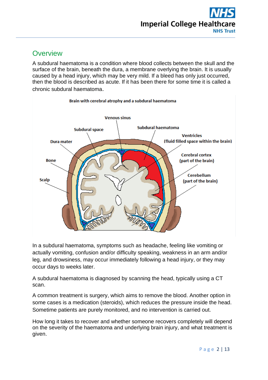### **Overview**

A subdural haematoma is a condition where blood collects between the skull and the surface of the brain, beneath the dura, a membrane overlying the brain. It is usually caused by a head injury, which may be very mild. If a bleed has only just occurred, then the blood is described as acute. If it has been there for some time it is called a chronic subdural haematoma.



In a subdural haematoma, symptoms such as headache, feeling like vomiting or actually vomiting, confusion and/or difficulty speaking, weakness in an arm and/or leg, and drowsiness, may occur immediately following a head injury, or they may occur days to weeks later.

A subdural haematoma is diagnosed by scanning the head, typically using a CT scan.

A common treatment is surgery, which aims to remove the blood. Another option in some cases is a medication (steroids), which reduces the pressure inside the head. Sometime patients are purely monitored, and no intervention is carried out.

How long it takes to recover and whether someone recovers completely will depend on the severity of the haematoma and underlying brain injury, and what treatment is given.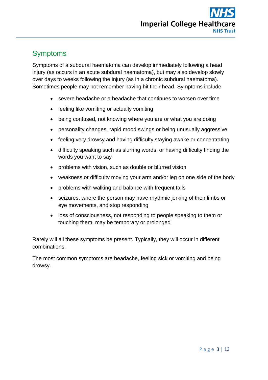## Symptoms

Symptoms of a subdural haematoma can develop immediately following a head injury (as occurs in an acute subdural haematoma), but may also develop slowly over days to weeks following the injury (as in a chronic subdural haematoma). Sometimes people may not remember having hit their head. Symptoms include:

- severe headache or a headache that continues to worsen over time
- feeling like vomiting or actually vomiting
- being confused, not knowing where you are or what you are doing
- personality changes, rapid mood swings or being unusually aggressive
- feeling very drowsy and having difficulty staying awake or concentrating
- difficulty speaking such as slurring words, or having difficulty finding the words you want to say
- problems with vision, such as double or blurred vision
- weakness or difficulty moving your arm and/or leg on one side of the body
- problems with walking and balance with frequent falls
- seizures, where the person may have rhythmic jerking of their limbs or eye movements, and stop responding
- loss of consciousness, not responding to people speaking to them or touching them, may be temporary or prolonged

Rarely will all these symptoms be present. Typically, they will occur in different combinations.

The most common symptoms are headache, feeling sick or vomiting and being drowsy.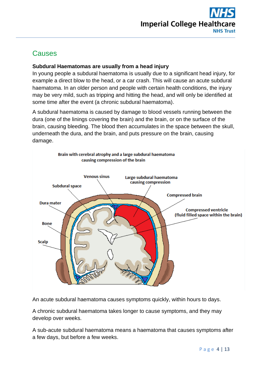

## **Causes**

### **Subdural Haematomas are usually from a head injury**

In young people a subdural haematoma is usually due to a significant head injury, for example a direct blow to the head, or a car crash. This will cause an acute subdural haematoma. In an older person and people with certain health conditions, the injury may be very mild, such as tripping and hitting the head, and will only be identified at some time after the event (a chronic subdural haematoma).

A subdural haematoma is caused by damage to blood vessels running between the dura (one of the linings covering the brain) and the brain, or on the surface of the brain, causing bleeding. The blood then accumulates in the space between the skull, underneath the dura, and the brain, and puts pressure on the brain, causing damage.



An acute subdural haematoma causes symptoms quickly, within hours to days.

A chronic subdural haematoma takes longer to cause symptoms, and they may develop over weeks.

A sub-acute subdural haematoma means a haematoma that causes symptoms after a few days, but before a few weeks.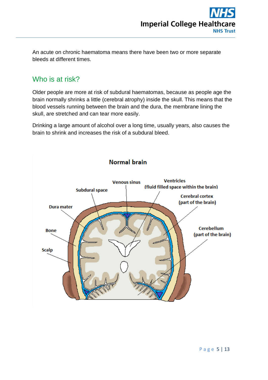An acute on chronic haematoma means there have been two or more separate bleeds at different times.

## Who is at risk?

Older people are more at risk of subdural haematomas, because as people age the brain normally shrinks a little (cerebral atrophy) inside the skull. This means that the blood vessels running between the brain and the dura, the membrane lining the skull, are stretched and can tear more easily.

Drinking a large amount of alcohol over a long time, usually years, also causes the brain to shrink and increases the risk of a subdural bleed.



Normal brain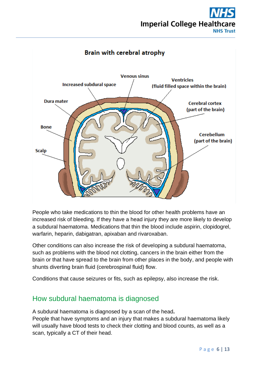## **Imperial College Healthcare NHS Trust**



People who take medications to thin the blood for other health problems have an increased risk of bleeding. If they have a head injury they are more likely to develop a subdural haematoma. Medications that thin the blood include aspirin, clopidogrel, warfarin, heparin, dabigatran, apixaban and rivaroxaban.

Other conditions can also increase the risk of developing a subdural haematoma, such as problems with the blood not clotting, cancers in the brain either from the brain or that have spread to the brain from other places in the body, and people with shunts diverting brain fluid (cerebrospinal fluid) flow.

Conditions that cause seizures or fits, such as epilepsy, also increase the risk.

## How subdural haematoma is diagnosed

A subdural haematoma is diagnosed by a scan of the head**.**

People that have symptoms and an injury that makes a subdural haematoma likely will usually have blood tests to check their clotting and blood counts, as well as a scan, typically a CT of their head.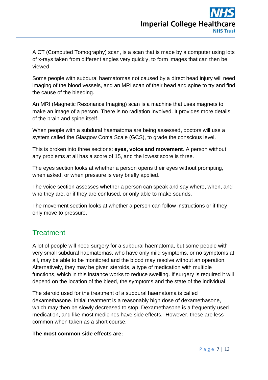A CT (Computed Tomography) scan, is a scan that is made by a computer using lots of x-rays taken from different angles very quickly, to form images that can then be viewed.

Some people with subdural haematomas not caused by a direct head injury will need imaging of the blood vessels, and an MRI scan of their head and spine to try and find the cause of the bleeding.

An MRI (Magnetic Resonance Imaging) scan is a machine that uses magnets to make an image of a person. There is no radiation involved. It provides more details of the brain and spine itself.

When people with a subdural haematoma are being assessed, doctors will use a system called the Glasgow Coma Scale (GCS), to grade the conscious level.

This is broken into three sections: **eyes, voice and movement**. A person without any problems at all has a score of 15, and the lowest score is three.

The eyes section looks at whether a person opens their eyes without prompting, when asked, or when pressure is very briefly applied.

The voice section assesses whether a person can speak and say where, when, and who they are, or if they are confused, or only able to make sounds.

The movement section looks at whether a person can follow instructions or if they only move to pressure.

### **Treatment**

A lot of people will need surgery for a subdural haematoma, but some people with very small subdural haematomas, who have only mild symptoms, or no symptoms at all, may be able to be monitored and the blood may resolve without an operation. Alternatively, they may be given steroids, a type of medication with multiple functions, which in this instance works to reduce swelling. If surgery is required it will depend on the location of the bleed, the symptoms and the state of the individual.

The steroid used for the treatment of a subdural haematoma is called dexamethasone. Initial treatment is a reasonably high dose of dexamethasone, which may then be slowly decreased to stop. Dexamethasone is a frequently used medication, and like most medicines have side effects. However, these are less common when taken as a short course.

### **The most common side effects are:**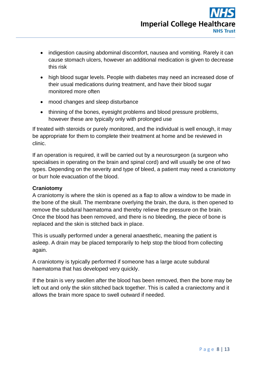- indigestion causing abdominal discomfort, nausea and vomiting. Rarely it can cause stomach ulcers, however an additional medication is given to decrease this risk
- high blood sugar levels. People with diabetes may need an increased dose of their usual medications during treatment, and have their blood sugar monitored more often
- mood changes and sleep disturbance
- thinning of the bones, eyesight problems and blood pressure problems, however these are typically only with prolonged use

If treated with steroids or purely monitored, and the individual is well enough, it may be appropriate for them to complete their treatment at home and be reviewed in clinic.

If an operation is required, it will be carried out by a neurosurgeon (a surgeon who specialises in operating on the brain and spinal cord) and will usually be one of two types. Depending on the severity and type of bleed, a patient may need a craniotomy or burr hole evacuation of the blood.

### **Craniotomy**

A craniotomy is where the skin is opened as a flap to allow a window to be made in the bone of the skull. The membrane overlying the brain, the dura, is then opened to remove the subdural haematoma and thereby relieve the pressure on the brain. Once the blood has been removed, and there is no bleeding, the piece of bone is replaced and the skin is stitched back in place.

This is usually performed under a general anaesthetic, meaning the patient is asleep. A drain may be placed temporarily to help stop the blood from collecting again.

A craniotomy is typically performed if someone has a large acute subdural haematoma that has developed very quickly.

If the brain is very swollen after the blood has been removed, then the bone may be left out and only the skin stitched back together. This is called a craniectomy and it allows the brain more space to swell outward if needed.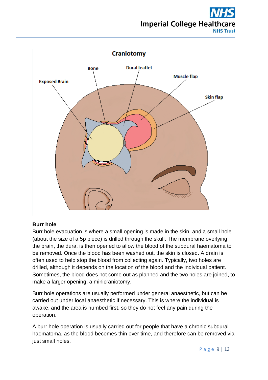## **Imperial College Healthcare NHS Trust**



### **Burr hole**

Burr hole evacuation is where a small opening is made in the skin, and a small hole (about the size of a 5p piece) is drilled through the skull. The membrane overlying the brain, the dura, is then opened to allow the blood of the subdural haematoma to be removed. Once the blood has been washed out, the skin is closed. A drain is often used to help stop the blood from collecting again. Typically, two holes are drilled, although it depends on the location of the blood and the individual patient. Sometimes, the blood does not come out as planned and the two holes are joined, to make a larger opening, a minicraniotomy.

Burr hole operations are usually performed under general anaesthetic, but can be carried out under local anaesthetic if necessary. This is where the individual is awake, and the area is numbed first, so they do not feel any pain during the operation.

A burr hole operation is usually carried out for people that have a chronic subdural haematoma, as the blood becomes thin over time, and therefore can be removed via just small holes.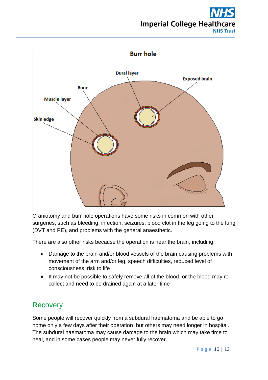## **Imperial College Healthcare NHS Trust**



Craniotomy and burr hole operations have some risks in common with other surgeries, such as bleeding, infection, seizures, blood clot in the leg going to the lung (DVT and PE), and problems with the general anaesthetic.

There are also other risks because the operation is near the brain, including:

- Damage to the brain and/or blood vessels of the brain causing problems with movement of the arm and/or leg, speech difficulties, reduced level of consciousness, risk to life
- It may not be possible to safely remove all of the blood, or the blood may recollect and need to be drained again at a later time

### **Recovery**

Some people will recover quickly from a subdural haematoma and be able to go home only a few days after their operation, but others may need longer in hospital. The subdural haematoma may cause damage to the brain which may take time to heal, and in some cases people may never fully recover.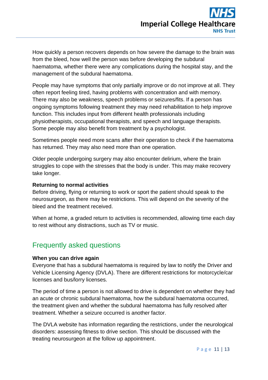How quickly a person recovers depends on how severe the damage to the brain was from the bleed, how well the person was before developing the subdural haematoma, whether there were any complications during the hospital stay, and the management of the subdural haematoma.

People may have symptoms that only partially improve or do not improve at all. They often report feeling tired, having problems with concentration and with memory. There may also be weakness, speech problems or seizures/fits. If a person has ongoing symptoms following treatment they may need rehabilitation to help improve function. This includes input from different health professionals including physiotherapists, occupational therapists, and speech and language therapists. Some people may also benefit from treatment by a psychologist.

Sometimes people need more scans after their operation to check if the haematoma has returned. They may also need more than one operation.

Older people undergoing surgery may also encounter delirium, where the brain struggles to cope with the stresses that the body is under. This may make recovery take longer.

### **Returning to normal activities**

Before driving, flying or returning to work or sport the patient should speak to the neurosurgeon, as there may be restrictions. This will depend on the severity of the bleed and the treatment received.

When at home, a graded return to activities is recommended, allowing time each day to rest without any distractions, such as TV or music.

### Frequently asked questions

#### **When you can drive again**

Everyone that has a subdural haematoma is required by law to notify the Driver and Vehicle Licensing Agency (DVLA). There are different restrictions for motorcycle/car licenses and bus/lorry licenses.

The period of time a person is not allowed to drive is dependent on whether they had an acute or chronic subdural haematoma, how the subdural haematoma occurred, the treatment given and whether the subdural haematoma has fully resolved after treatment. Whether a seizure occurred is another factor.

The DVLA website has information regarding the restrictions, under the neurological disorders: assessing fitness to drive section. This should be discussed with the treating neurosurgeon at the follow up appointment.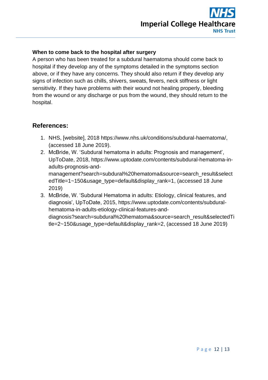### **When to come back to the hospital after surgery**

A person who has been treated for a subdural haematoma should come back to hospital if they develop any of the symptoms detailed in the symptoms section above, or if they have any concerns. They should also return if they develop any signs of infection such as chills, shivers, sweats, fevers, neck stiffness or light sensitivity. If they have problems with their wound not healing properly, bleeding from the wound or any discharge or pus from the wound, they should return to the hospital.

### **References:**

- 1. NHS, [website], 2018 [https://www.nhs.uk/conditions/subdural-haematoma/,](https://www.nhs.uk/conditions/subdural-haematoma/) (accessed 18 June 2019).
- 2. McBride, W. 'Subdural hematoma in adults: Prognosis and management', UpToDate, 2018, [https://www.uptodate.com/contents/subdural-hematoma-in](https://www.uptodate.com/contents/subdural-hematoma-in-adults-prognosis-and-management?search=subdural%20hematoma&source=search_result&selectedTitle=1~150&usage_type=default&display_rank=1)[adults-prognosis-and](https://www.uptodate.com/contents/subdural-hematoma-in-adults-prognosis-and-management?search=subdural%20hematoma&source=search_result&selectedTitle=1~150&usage_type=default&display_rank=1)[management?search=subdural%20hematoma&source=search\\_result&select](https://www.uptodate.com/contents/subdural-hematoma-in-adults-prognosis-and-management?search=subdural%20hematoma&source=search_result&selectedTitle=1~150&usage_type=default&display_rank=1) [edTitle=1~150&usage\\_type=default&display\\_rank=1,](https://www.uptodate.com/contents/subdural-hematoma-in-adults-prognosis-and-management?search=subdural%20hematoma&source=search_result&selectedTitle=1~150&usage_type=default&display_rank=1) (accessed 18 June 2019)
- 3. McBride, W. 'Subdural Hematoma in adults: Etiology, clinical features, and diagnosis', UpToDate, 2015, [https://www.uptodate.com/contents/subdural](https://www.uptodate.com/contents/subdural-hematoma-in-adults-etiology-clinical-features-and-diagnosis?search=subdural%20hematoma&source=search_result&selectedTitle=2~150&usage_type=default&display_rank=2)[hematoma-in-adults-etiology-clinical-features-and](https://www.uptodate.com/contents/subdural-hematoma-in-adults-etiology-clinical-features-and-diagnosis?search=subdural%20hematoma&source=search_result&selectedTitle=2~150&usage_type=default&display_rank=2)[diagnosis?search=subdural%20hematoma&source=search\\_result&selectedTi](https://www.uptodate.com/contents/subdural-hematoma-in-adults-etiology-clinical-features-and-diagnosis?search=subdural%20hematoma&source=search_result&selectedTitle=2~150&usage_type=default&display_rank=2) [tle=2~150&usage\\_type=default&display\\_rank=2,](https://www.uptodate.com/contents/subdural-hematoma-in-adults-etiology-clinical-features-and-diagnosis?search=subdural%20hematoma&source=search_result&selectedTitle=2~150&usage_type=default&display_rank=2) (accessed 18 June 2019)